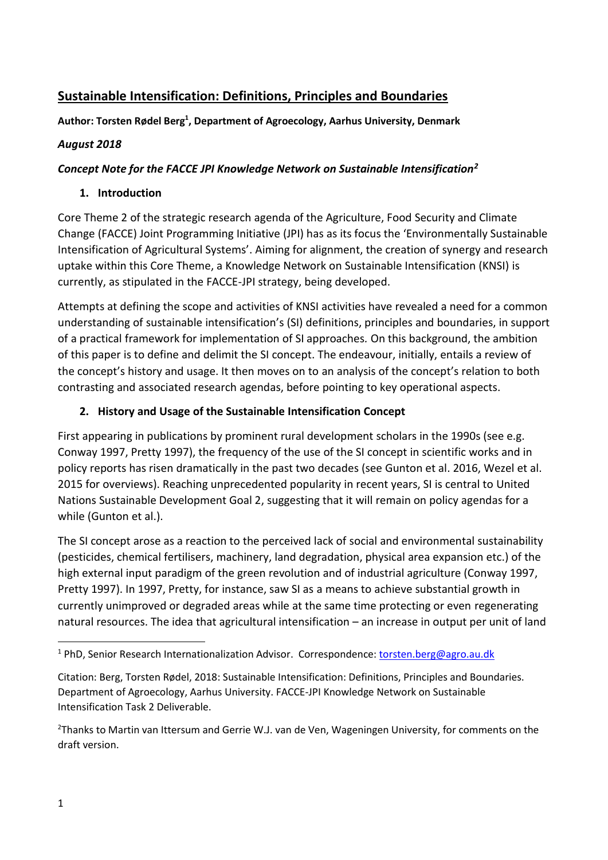# **Sustainable Intensification: Definitions, Principles and Boundaries**

**Author: Torsten Rødel Berg<sup>1</sup> , Department of Agroecology, Aarhus University, Denmark**

#### *August 2018*

### *Concept Note for the FACCE JPI Knowledge Network on Sustainable Intensification<sup>2</sup>*

#### **1. Introduction**

Core Theme 2 of the strategic research agenda of the Agriculture, Food Security and Climate Change (FACCE) Joint Programming Initiative (JPI) has as its focus the 'Environmentally Sustainable Intensification of Agricultural Systems'. Aiming for alignment, the creation of synergy and research uptake within this Core Theme, a Knowledge Network on Sustainable Intensification (KNSI) is currently, as stipulated in the FACCE-JPI strategy, being developed.

Attempts at defining the scope and activities of KNSI activities have revealed a need for a common understanding of sustainable intensification's (SI) definitions, principles and boundaries, in support of a practical framework for implementation of SI approaches*.* On this background, the ambition of this paper is to define and delimit the SI concept. The endeavour, initially, entails a review of the concept's history and usage. It then moves on to an analysis of the concept's relation to both contrasting and associated research agendas, before pointing to key operational aspects.

### **2. History and Usage of the Sustainable Intensification Concept**

First appearing in publications by prominent rural development scholars in the 1990s (see e.g. Conway 1997, Pretty 1997), the frequency of the use of the SI concept in scientific works and in policy reports has risen dramatically in the past two decades (see Gunton et al. 2016, Wezel et al. 2015 for overviews). Reaching unprecedented popularity in recent years, SI is central to United Nations Sustainable Development Goal 2, suggesting that it will remain on policy agendas for a while (Gunton et al.).

The SI concept arose as a reaction to the perceived lack of social and environmental sustainability (pesticides, chemical fertilisers, machinery, land degradation, physical area expansion etc.) of the high external input paradigm of the green revolution and of industrial agriculture (Conway 1997, Pretty 1997). In 1997, Pretty, for instance, saw SI as a means to achieve substantial growth in currently unimproved or degraded areas while at the same time protecting or even regenerating natural resources. The idea that agricultural intensification – an increase in output per unit of land

1

<sup>&</sup>lt;sup>1</sup> PhD, Senior Research Internationalization Advisor. Correspondence: [torsten.berg@agro.au.dk](mailto:torsten.berg@agro.au.dk)

Citation: Berg, Torsten Rødel, 2018: Sustainable Intensification: Definitions, Principles and Boundaries. Department of Agroecology, Aarhus University. FACCE-JPI Knowledge Network on Sustainable Intensification Task 2 Deliverable.

<sup>&</sup>lt;sup>2</sup>Thanks to Martin van Ittersum and Gerrie W.J. van de Ven, Wageningen University, for comments on the draft version.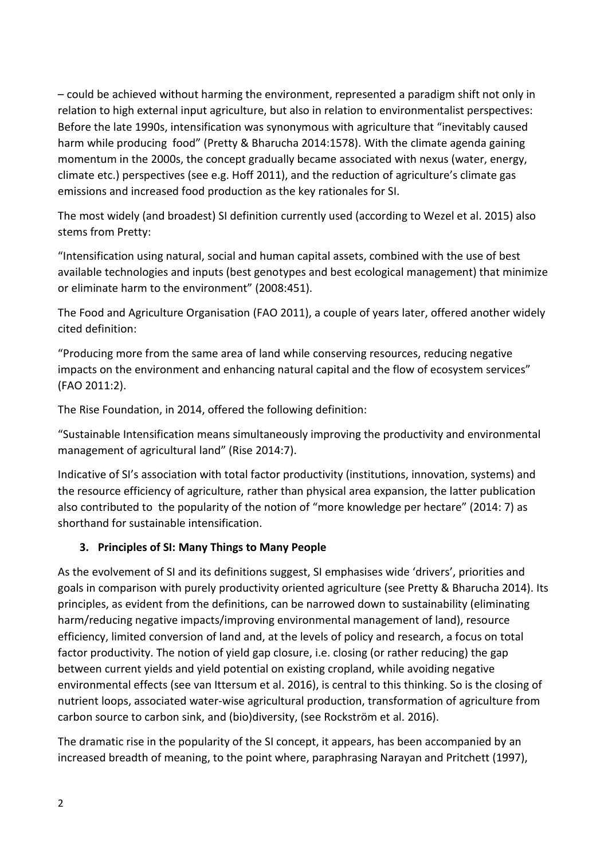– could be achieved without harming the environment, represented a paradigm shift not only in relation to high external input agriculture, but also in relation to environmentalist perspectives: Before the late 1990s, intensification was synonymous with agriculture that "inevitably caused harm while producing food" (Pretty & Bharucha 2014:1578). With the climate agenda gaining momentum in the 2000s, the concept gradually became associated with nexus (water, energy, climate etc.) perspectives (see e.g. Hoff 2011), and the reduction of agriculture's climate gas emissions and increased food production as the key rationales for SI.

The most widely (and broadest) SI definition currently used (according to Wezel et al. 2015) also stems from Pretty:

"Intensification using natural, social and human capital assets, combined with the use of best available technologies and inputs (best genotypes and best ecological management) that minimize or eliminate harm to the environment" (2008:451).

The Food and Agriculture Organisation (FAO 2011), a couple of years later, offered another widely cited definition:

"Producing more from the same area of land while conserving resources, reducing negative impacts on the environment and enhancing natural capital and the flow of ecosystem services" (FAO 2011:2).

The Rise Foundation, in 2014, offered the following definition:

"Sustainable Intensification means simultaneously improving the productivity and environmental management of agricultural land" (Rise 2014:7).

Indicative of SI's association with total factor productivity (institutions, innovation, systems) and the resource efficiency of agriculture, rather than physical area expansion, the latter publication also contributed to the popularity of the notion of "more knowledge per hectare" (2014: 7) as shorthand for sustainable intensification.

### **3. Principles of SI: Many Things to Many People**

As the evolvement of SI and its definitions suggest, SI emphasises wide 'drivers', priorities and goals in comparison with purely productivity oriented agriculture (see Pretty & Bharucha 2014). Its principles, as evident from the definitions, can be narrowed down to sustainability (eliminating harm/reducing negative impacts/improving environmental management of land), resource efficiency, limited conversion of land and, at the levels of policy and research, a focus on total factor productivity. The notion of yield gap closure, i.e. closing (or rather reducing) the gap between current yields and yield potential on existing cropland, while avoiding negative environmental effects (see van Ittersum et al. 2016), is central to this thinking. So is the closing of nutrient loops, associated water-wise agricultural production, transformation of agriculture from carbon source to carbon sink, and (bio)diversity, (see Rockström et al. 2016).

The dramatic rise in the popularity of the SI concept, it appears, has been accompanied by an increased breadth of meaning, to the point where, paraphrasing Narayan and Pritchett (1997),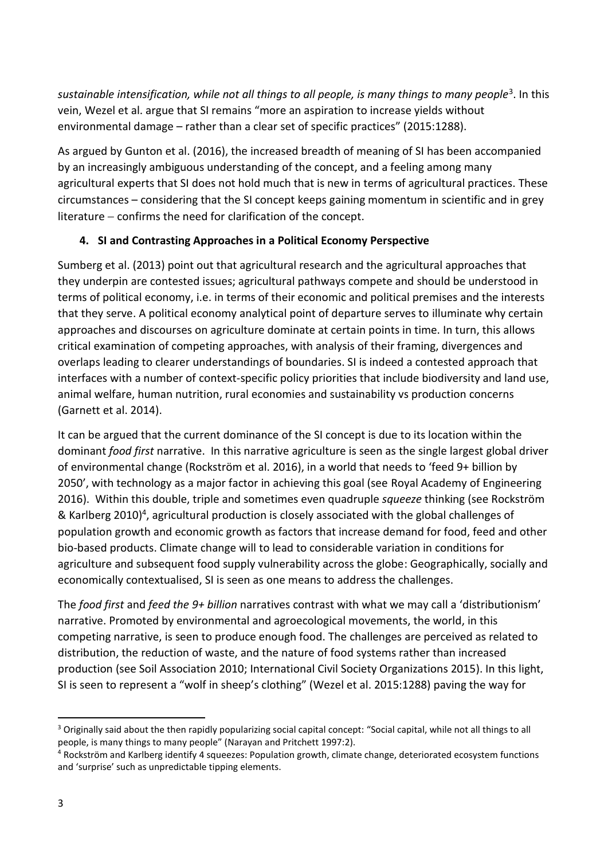*sustainable intensification, while not all things to all people, is many things to many people*<sup>3</sup> . In this vein, Wezel et al. argue that SI remains "more an aspiration to increase yields without environmental damage – rather than a clear set of specific practices" (2015:1288).

As argued by Gunton et al. (2016), the increased breadth of meaning of SI has been accompanied by an increasingly ambiguous understanding of the concept, and a feeling among many agricultural experts that SI does not hold much that is new in terms of agricultural practices. These circumstances – considering that the SI concept keeps gaining momentum in scientific and in grey literature  $-$  confirms the need for clarification of the concept.

## **4. SI and Contrasting Approaches in a Political Economy Perspective**

Sumberg et al. (2013) point out that agricultural research and the agricultural approaches that they underpin are contested issues; agricultural pathways compete and should be understood in terms of political economy, i.e. in terms of their economic and political premises and the interests that they serve. A political economy analytical point of departure serves to illuminate why certain approaches and discourses on agriculture dominate at certain points in time. In turn, this allows critical examination of competing approaches, with analysis of their framing, divergences and overlaps leading to clearer understandings of boundaries. SI is indeed a contested approach that interfaces with a number of context-specific policy priorities that include biodiversity and land use, animal welfare, human nutrition, rural economies and sustainability vs production concerns (Garnett et al. 2014).

It can be argued that the current dominance of the SI concept is due to its location within the dominant *food first* narrative. In this narrative agriculture is seen as the single largest global driver of environmental change (Rockström et al. 2016), in a world that needs to 'feed 9+ billion by 2050', with technology as a major factor in achieving this goal (see Royal Academy of Engineering 2016). Within this double, triple and sometimes even quadruple *squeeze* thinking (see Rockström & Karlberg 2010)<sup>4</sup>, agricultural production is closely associated with the global challenges of population growth and economic growth as factors that increase demand for food, feed and other bio-based products. Climate change will to lead to considerable variation in conditions for agriculture and subsequent food supply vulnerability across the globe: Geographically, socially and economically contextualised, SI is seen as one means to address the challenges.

The *food first* and *feed the 9+ billion* narratives contrast with what we may call a 'distributionism' narrative. Promoted by environmental and agroecological movements, the world, in this competing narrative, is seen to produce enough food. The challenges are perceived as related to distribution, the reduction of waste, and the nature of food systems rather than increased production (see Soil Association 2010; International Civil Society Organizations 2015). In this light, SI is seen to represent a "wolf in sheep's clothing" (Wezel et al. 2015:1288) paving the way for

 $\overline{a}$ <sup>3</sup> Originally said about the then rapidly popularizing social capital concept: "Social capital, while not all things to all people, is many things to many people" (Narayan and Pritchett 1997:2).

<sup>4</sup> Rockström and Karlberg identify 4 squeezes: Population growth, climate change, deteriorated ecosystem functions and 'surprise' such as unpredictable tipping elements.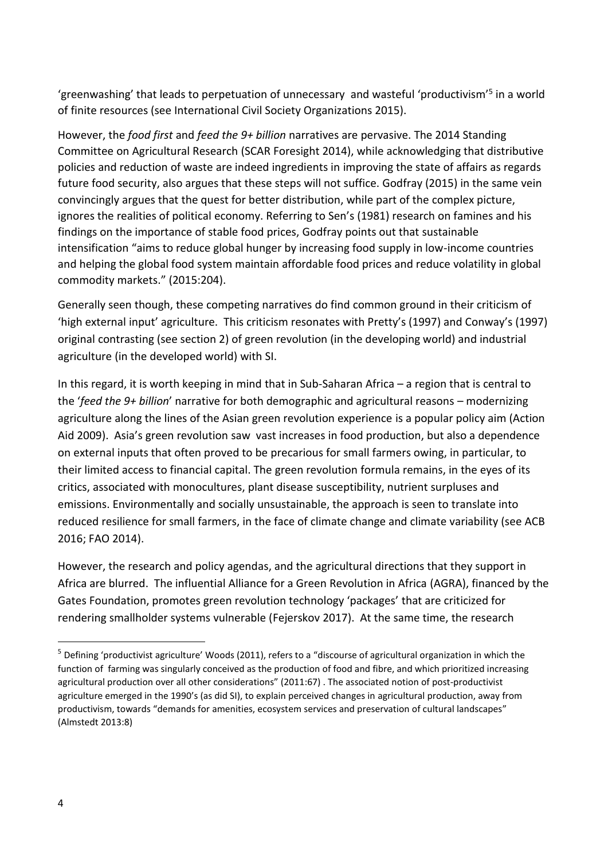'greenwashing' that leads to perpetuation of unnecessary and wasteful 'productivism'<sup>5</sup> in a world of finite resources (see International Civil Society Organizations 2015).

However, the *food first* and *feed the 9+ billion* narratives are pervasive. The 2014 Standing Committee on Agricultural Research (SCAR Foresight 2014), while acknowledging that distributive policies and reduction of waste are indeed ingredients in improving the state of affairs as regards future food security, also argues that these steps will not suffice. Godfray (2015) in the same vein convincingly argues that the quest for better distribution, while part of the complex picture, ignores the realities of political economy. Referring to Sen's (1981) research on famines and his findings on the importance of stable food prices, Godfray points out that sustainable intensification "aims to reduce global hunger by increasing food supply in low-income countries and helping the global food system maintain affordable food prices and reduce volatility in global commodity markets." (2015:204).

Generally seen though, these competing narratives do find common ground in their criticism of 'high external input' agriculture. This criticism resonates with Pretty's (1997) and Conway's (1997) original contrasting (see section 2) of green revolution (in the developing world) and industrial agriculture (in the developed world) with SI.

In this regard, it is worth keeping in mind that in Sub-Saharan Africa – a region that is central to the '*feed the 9+ billion*' narrative for both demographic and agricultural reasons – modernizing agriculture along the lines of the Asian green revolution experience is a popular policy aim (Action Aid 2009). Asia's green revolution saw vast increases in food production, but also a dependence on external inputs that often proved to be precarious for small farmers owing, in particular, to their limited access to financial capital. The green revolution formula remains, in the eyes of its critics, associated with monocultures, plant disease susceptibility, nutrient surpluses and emissions. Environmentally and socially unsustainable, the approach is seen to translate into reduced resilience for small farmers, in the face of climate change and climate variability (see ACB 2016; FAO 2014).

However, the research and policy agendas, and the agricultural directions that they support in Africa are blurred. The influential Alliance for a Green Revolution in Africa (AGRA), financed by the Gates Foundation, promotes green revolution technology 'packages' that are criticized for rendering smallholder systems vulnerable (Fejerskov 2017). At the same time, the research

**.** 

<sup>5</sup> Defining 'productivist agriculture' Woods (2011), refers to a "discourse of agricultural organization in which the function of farming was singularly conceived as the production of food and fibre, and which prioritized increasing agricultural production over all other considerations" (2011:67) . The associated notion of post-productivist agriculture emerged in the 1990's (as did SI), to explain perceived changes in agricultural production, away from productivism, towards "demands for amenities, ecosystem services and preservation of cultural landscapes" (Almstedt 2013:8)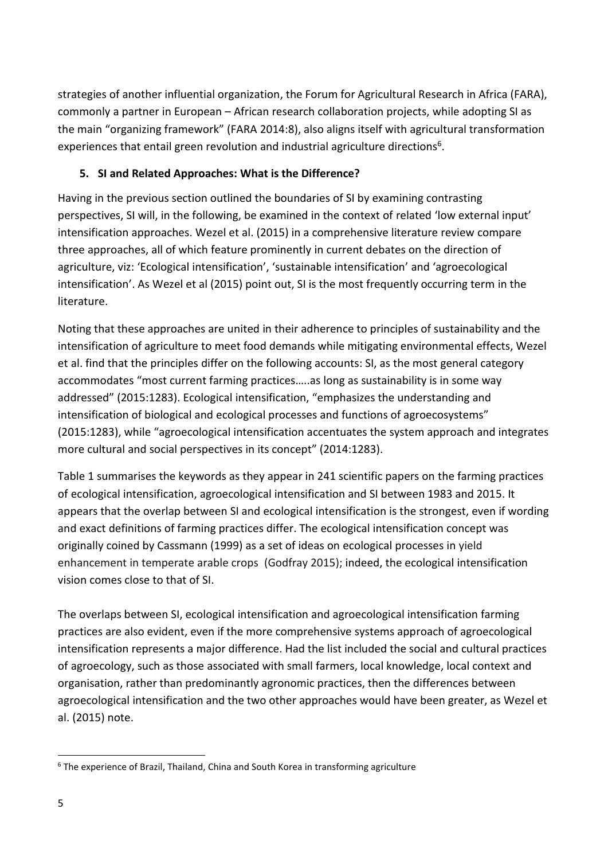strategies of another influential organization, the Forum for Agricultural Research in Africa (FARA), commonly a partner in European – African research collaboration projects, while adopting SI as the main "organizing framework" (FARA 2014:8), also aligns itself with agricultural transformation experiences that entail green revolution and industrial agriculture directions<sup>6</sup>.

#### **5. SI and Related Approaches: What is the Difference?**

Having in the previous section outlined the boundaries of SI by examining contrasting perspectives, SI will, in the following, be examined in the context of related 'low external input' intensification approaches. Wezel et al. (2015) in a comprehensive literature review compare three approaches, all of which feature prominently in current debates on the direction of agriculture, viz: 'Ecological intensification', 'sustainable intensification' and 'agroecological intensification'. As Wezel et al (2015) point out, SI is the most frequently occurring term in the literature.

Noting that these approaches are united in their adherence to principles of sustainability and the intensification of agriculture to meet food demands while mitigating environmental effects, Wezel et al. find that the principles differ on the following accounts: SI, as the most general category accommodates "most current farming practices…..as long as sustainability is in some way addressed" (2015:1283). Ecological intensification, "emphasizes the understanding and intensification of biological and ecological processes and functions of agroecosystems" (2015:1283), while "agroecological intensification accentuates the system approach and integrates more cultural and social perspectives in its concept" (2014:1283).

Table 1 summarises the keywords as they appear in 241 scientific papers on the farming practices of ecological intensification, agroecological intensification and SI between 1983 and 2015. It appears that the overlap between SI and ecological intensification is the strongest, even if wording and exact definitions of farming practices differ. The ecological intensification concept was originally coined by Cassmann (1999) as a set of ideas on ecological processes in yield enhancement in temperate arable crops (Godfray 2015); indeed, the ecological intensification vision comes close to that of SI.

The overlaps between SI, ecological intensification and agroecological intensification farming practices are also evident, even if the more comprehensive systems approach of agroecological intensification represents a major difference. Had the list included the social and cultural practices of agroecology, such as those associated with small farmers, local knowledge, local context and organisation, rather than predominantly agronomic practices, then the differences between agroecological intensification and the two other approaches would have been greater, as Wezel et al. (2015) note.

1

<sup>&</sup>lt;sup>6</sup> The experience of Brazil, Thailand, China and South Korea in transforming agriculture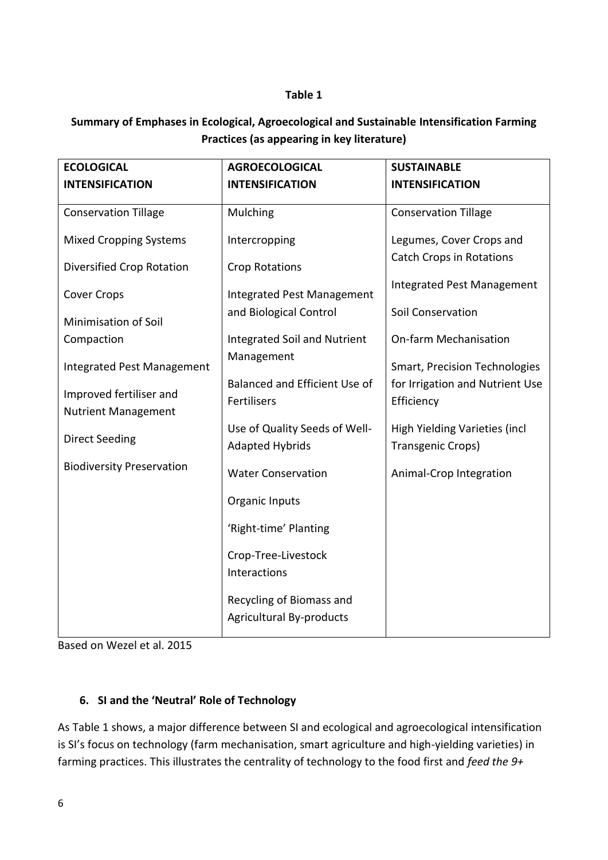#### **Table 1**

## **Summary of Emphases in Ecological, Agroecological and Sustainable Intensification Farming Practices (as appearing in key literature)**

| <b>ECOLOGICAL</b>                 | <b>AGROECOLOGICAL</b>                                       | <b>SUSTAINABLE</b>                            |
|-----------------------------------|-------------------------------------------------------------|-----------------------------------------------|
| <b>INTENSIFICATION</b>            | <b>INTENSIFICATION</b>                                      | <b>INTENSIFICATION</b>                        |
| <b>Conservation Tillage</b>       | Mulching                                                    | <b>Conservation Tillage</b>                   |
| <b>Mixed Cropping Systems</b>     | Intercropping                                               | Legumes, Cover Crops and                      |
| Diversified Crop Rotation         | <b>Crop Rotations</b>                                       | <b>Catch Crops in Rotations</b>               |
| <b>Cover Crops</b>                | <b>Integrated Pest Management</b>                           | <b>Integrated Pest Management</b>             |
| <b>Minimisation of Soil</b>       | and Biological Control                                      | Soil Conservation                             |
| Compaction                        | <b>Integrated Soil and Nutrient</b>                         | <b>On-farm Mechanisation</b>                  |
| <b>Integrated Pest Management</b> | Management                                                  | <b>Smart, Precision Technologies</b>          |
| Improved fertiliser and           | Balanced and Efficient Use of<br>Fertilisers                | for Irrigation and Nutrient Use<br>Efficiency |
| <b>Nutrient Management</b>        | Use of Quality Seeds of Well-                               | High Yielding Varieties (incl                 |
| <b>Direct Seeding</b>             | <b>Adapted Hybrids</b>                                      | Transgenic Crops)                             |
| <b>Biodiversity Preservation</b>  | <b>Water Conservation</b>                                   | Animal-Crop Integration                       |
|                                   | Organic Inputs                                              |                                               |
|                                   | 'Right-time' Planting                                       |                                               |
|                                   | Crop-Tree-Livestock<br>Interactions                         |                                               |
|                                   | Recycling of Biomass and<br><b>Agricultural By-products</b> |                                               |

Based on Wezel et al. 2015

### **6. SI and the 'Neutral' Role of Technology**

As Table 1 shows, a major difference between SI and ecological and agroecological intensification is SI's focus on technology (farm mechanisation, smart agriculture and high-yielding varieties) in farming practices. This illustrates the centrality of technology to the food first and *feed the 9+*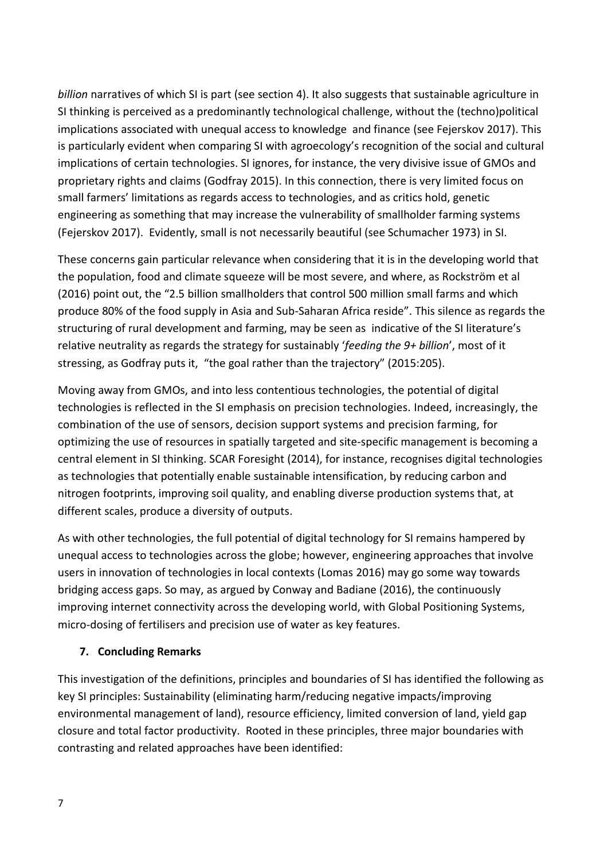*billion* narratives of which SI is part (see section 4). It also suggests that sustainable agriculture in SI thinking is perceived as a predominantly technological challenge, without the (techno)political implications associated with unequal access to knowledge and finance (see Fejerskov 2017). This is particularly evident when comparing SI with agroecology's recognition of the social and cultural implications of certain technologies. SI ignores, for instance, the very divisive issue of GMOs and proprietary rights and claims (Godfray 2015). In this connection, there is very limited focus on small farmers' limitations as regards access to technologies, and as critics hold, genetic engineering as something that may increase the vulnerability of smallholder farming systems (Fejerskov 2017). Evidently, small is not necessarily beautiful (see Schumacher 1973) in SI.

These concerns gain particular relevance when considering that it is in the developing world that the population, food and climate squeeze will be most severe, and where, as Rockström et al (2016) point out, the "2.5 billion smallholders that control 500 million small farms and which produce 80% of the food supply in Asia and Sub-Saharan Africa reside". This silence as regards the structuring of rural development and farming, may be seen as indicative of the SI literature's relative neutrality as regards the strategy for sustainably '*feeding the 9+ billion*', most of it stressing, as Godfray puts it, "the goal rather than the trajectory" (2015:205).

Moving away from GMOs, and into less contentious technologies, the potential of digital technologies is reflected in the SI emphasis on precision technologies. Indeed, increasingly, the combination of the use of sensors, decision support systems and precision farming, for optimizing the use of resources in spatially targeted and site-specific management is becoming a central element in SI thinking. SCAR Foresight (2014), for instance, recognises digital technologies as technologies that potentially enable sustainable intensification, by reducing carbon and nitrogen footprints, improving soil quality, and enabling diverse production systems that, at different scales, produce a diversity of outputs.

As with other technologies, the full potential of digital technology for SI remains hampered by unequal access to technologies across the globe; however, engineering approaches that involve users in innovation of technologies in local contexts (Lomas 2016) may go some way towards bridging access gaps. So may, as argued by Conway and Badiane (2016), the continuously improving internet connectivity across the developing world, with Global Positioning Systems, micro-dosing of fertilisers and precision use of water as key features.

### **7. Concluding Remarks**

This investigation of the definitions, principles and boundaries of SI has identified the following as key SI principles: Sustainability (eliminating harm/reducing negative impacts/improving environmental management of land), resource efficiency, limited conversion of land, yield gap closure and total factor productivity. Rooted in these principles, three major boundaries with contrasting and related approaches have been identified: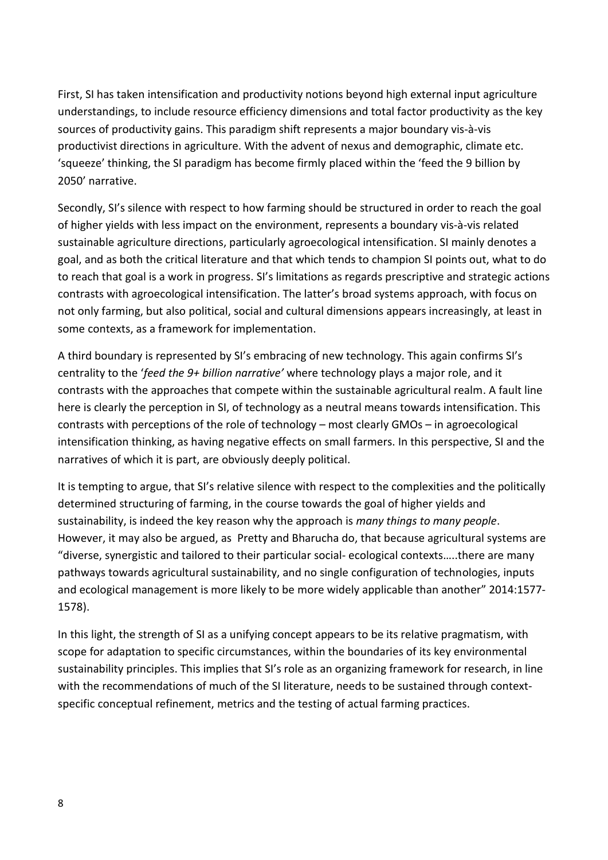First, SI has taken intensification and productivity notions beyond high external input agriculture understandings, to include resource efficiency dimensions and total factor productivity as the key sources of productivity gains. This paradigm shift represents a major boundary vis-à-vis productivist directions in agriculture. With the advent of nexus and demographic, climate etc. 'squeeze' thinking, the SI paradigm has become firmly placed within the 'feed the 9 billion by 2050' narrative.

Secondly, SI's silence with respect to how farming should be structured in order to reach the goal of higher yields with less impact on the environment, represents a boundary vis-à-vis related sustainable agriculture directions, particularly agroecological intensification. SI mainly denotes a goal, and as both the critical literature and that which tends to champion SI points out, what to do to reach that goal is a work in progress. SI's limitations as regards prescriptive and strategic actions contrasts with agroecological intensification. The latter's broad systems approach, with focus on not only farming, but also political, social and cultural dimensions appears increasingly, at least in some contexts, as a framework for implementation.

A third boundary is represented by SI's embracing of new technology. This again confirms SI's centrality to the '*feed the 9+ billion narrative'* where technology plays a major role, and it contrasts with the approaches that compete within the sustainable agricultural realm. A fault line here is clearly the perception in SI, of technology as a neutral means towards intensification. This contrasts with perceptions of the role of technology – most clearly GMOs – in agroecological intensification thinking, as having negative effects on small farmers. In this perspective, SI and the narratives of which it is part, are obviously deeply political.

It is tempting to argue, that SI's relative silence with respect to the complexities and the politically determined structuring of farming, in the course towards the goal of higher yields and sustainability, is indeed the key reason why the approach is *many things to many people*. However, it may also be argued, as Pretty and Bharucha do, that because agricultural systems are "diverse, synergistic and tailored to their particular social- ecological contexts…..there are many pathways towards agricultural sustainability, and no single configuration of technologies, inputs and ecological management is more likely to be more widely applicable than another" 2014:1577- 1578).

In this light, the strength of SI as a unifying concept appears to be its relative pragmatism, with scope for adaptation to specific circumstances, within the boundaries of its key environmental sustainability principles. This implies that SI's role as an organizing framework for research, in line with the recommendations of much of the SI literature, needs to be sustained through contextspecific conceptual refinement, metrics and the testing of actual farming practices.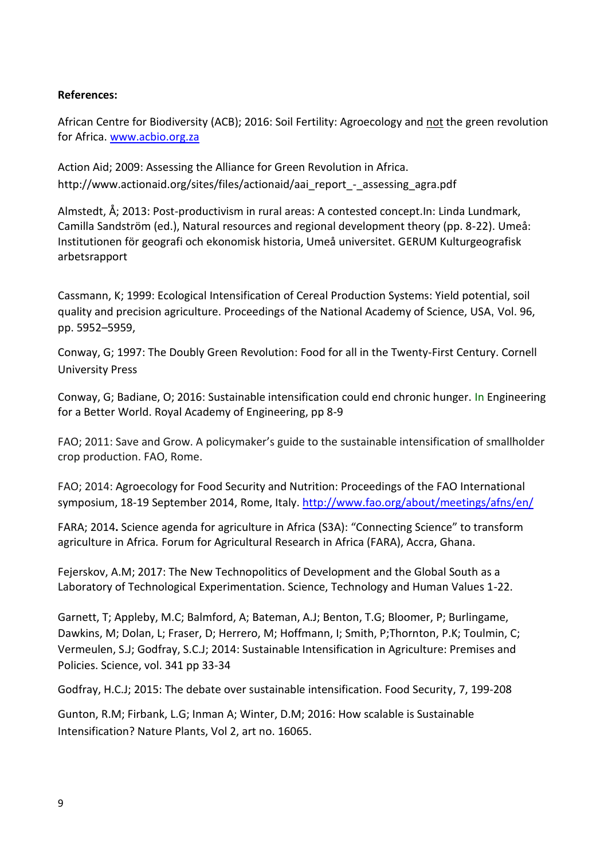#### **References:**

African Centre for Biodiversity (ACB); 2016: Soil Fertility: Agroecology and not the green revolution for Africa[. www.acbio.org.za](http://www.acbio.org.za/)

Action Aid; 2009: Assessing the Alliance for Green Revolution in Africa. http://www.actionaid.org/sites/files/actionaid/aai\_report\_-\_assessing\_agra.pdf

Almstedt, Å; 2013: Post-productivism in rural areas: A contested concept.In: Linda Lundmark, Camilla Sandström (ed.), Natural resources and regional development theory (pp. 8-22). Umeå: Institutionen för geografi och ekonomisk historia, Umeå universitet. GERUM Kulturgeografisk arbetsrapport

Cassmann, K; 1999: Ecological Intensification of Cereal Production Systems: Yield potential, soil quality and precision agriculture. Proceedings of the National Academy of Science, USA, Vol. 96, pp. 5952–5959,

Conway, G; 1997: The Doubly Green Revolution: Food for all in the Twenty-First Century. Cornell University Press

Conway, G; Badiane, O; 2016: Sustainable intensification could end chronic hunger. In Engineering for a Better World. Royal Academy of Engineering, pp 8-9

FAO; 2011: Save and Grow. A policymaker's guide to the sustainable intensification of smallholder crop production. FAO, Rome.

FAO; 2014: Agroecology for Food Security and Nutrition: Proceedings of the FAO International symposium, 18-19 September 2014, Rome, Italy.<http://www.fao.org/about/meetings/afns/en/>

FARA; 2014**.** Science agenda for agriculture in Africa (S3A): "Connecting Science" to transform agriculture in Africa*.* Forum for Agricultural Research in Africa (FARA), Accra, Ghana.

Fejerskov, A.M; 2017: The New Technopolitics of Development and the Global South as a Laboratory of Technological Experimentation. Science, Technology and Human Values 1-22.

Garnett, T; Appleby, M.C; Balmford, A; Bateman, A.J; Benton, T.G; Bloomer, P; Burlingame, Dawkins, M; Dolan, L; Fraser, D; Herrero, M; Hoffmann, I; Smith, P;Thornton, P.K; Toulmin, C; Vermeulen, S.J; Godfray, S.C.J; 2014: Sustainable Intensification in Agriculture: Premises and Policies. Science, vol. 341 pp 33-34

Godfray, H.C.J; 2015: The debate over sustainable intensification. Food Security, 7, 199-208

Gunton, R.M; Firbank, L.G; Inman A; Winter, D.M; 2016: How scalable is Sustainable Intensification? Nature Plants, Vol 2, art no. 16065.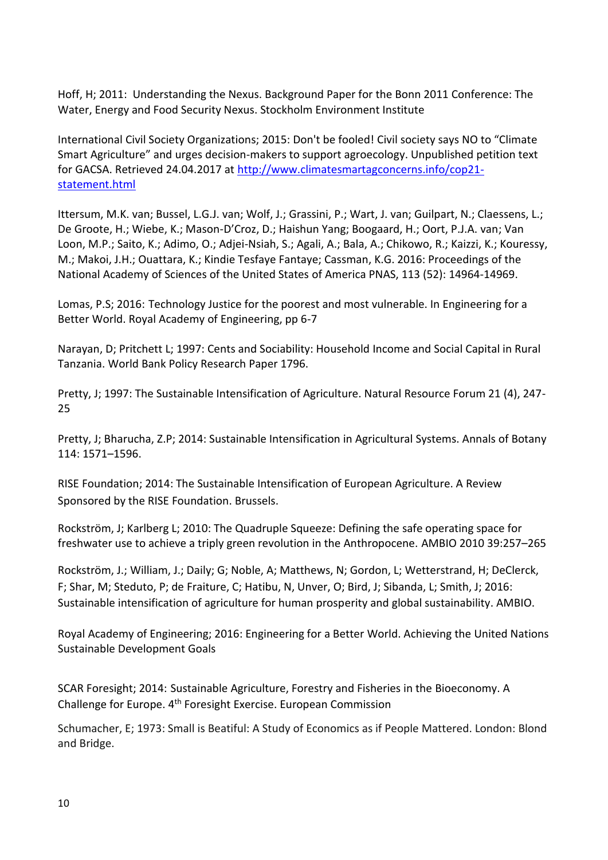Hoff, H; 2011: Understanding the Nexus. Background Paper for the Bonn 2011 Conference: The Water, Energy and Food Security Nexus. Stockholm Environment Institute

International Civil Society Organizations; 2015: Don't be fooled! Civil society says NO to "Climate Smart Agriculture" and urges decision-makers to support agroecology. Unpublished petition text for GACSA. Retrieved 24.04.2017 at [http://www.climatesmartagconcerns.info/cop21](http://www.climatesmartagconcerns.info/cop21-statement.html) [statement.html](http://www.climatesmartagconcerns.info/cop21-statement.html)

Ittersum, M.K. van; Bussel, L.G.J. van; Wolf, J.; Grassini, P.; Wart, J. van; Guilpart, N.; Claessens, L.; De Groote, H.; Wiebe, K.; Mason-D'Croz, D.; Haishun Yang; Boogaard, H.; Oort, P.J.A. van; Van Loon, M.P.; Saito, K.; Adimo, O.; Adjei-Nsiah, S.; Agali, A.; Bala, A.; Chikowo, R.; Kaizzi, K.; Kouressy, M.; Makoi, J.H.; Ouattara, K.; Kindie Tesfaye Fantaye; Cassman, K.G. 2016: Proceedings of the National Academy of Sciences of the United States of America PNAS, 113 (52): 14964-14969.

Lomas, P.S; 2016: Technology Justice for the poorest and most vulnerable. In Engineering for a Better World. Royal Academy of Engineering, pp 6-7

Narayan, D; Pritchett L; 1997: Cents and Sociability: Household Income and Social Capital in Rural Tanzania. World Bank Policy Research Paper 1796.

Pretty, J; 1997: The Sustainable Intensification of Agriculture. Natural Resource Forum 21 (4), 247- 25

Pretty, J; Bharucha, Z.P; 2014: Sustainable Intensification in Agricultural Systems. Annals of Botany 114: 1571–1596.

RISE Foundation; 2014: The Sustainable Intensification of European Agriculture. A Review Sponsored by the RISE Foundation. Brussels.

Rockström, J; Karlberg L; 2010: The Quadruple Squeeze: Defining the safe operating space for freshwater use to achieve a triply green revolution in the Anthropocene. AMBIO 2010 39:257–265

Rockström, J.; William, J.; Daily; G; Noble, A; Matthews, N; Gordon, L; Wetterstrand, H; DeClerck, F; Shar, M; Steduto, P; de Fraiture, C; Hatibu, N, Unver, O; Bird, J; Sibanda, L; Smith, J; 2016: Sustainable intensification of agriculture for human prosperity and global sustainability. AMBIO.

Royal Academy of Engineering; 2016: Engineering for a Better World. Achieving the United Nations Sustainable Development Goals

SCAR Foresight; 2014: Sustainable Agriculture, Forestry and Fisheries in the Bioeconomy. A Challenge for Europe. 4th Foresight Exercise. European Commission

Schumacher, E; 1973: Small is Beatiful: A Study of Economics as if People Mattered. London: Blond and Bridge.